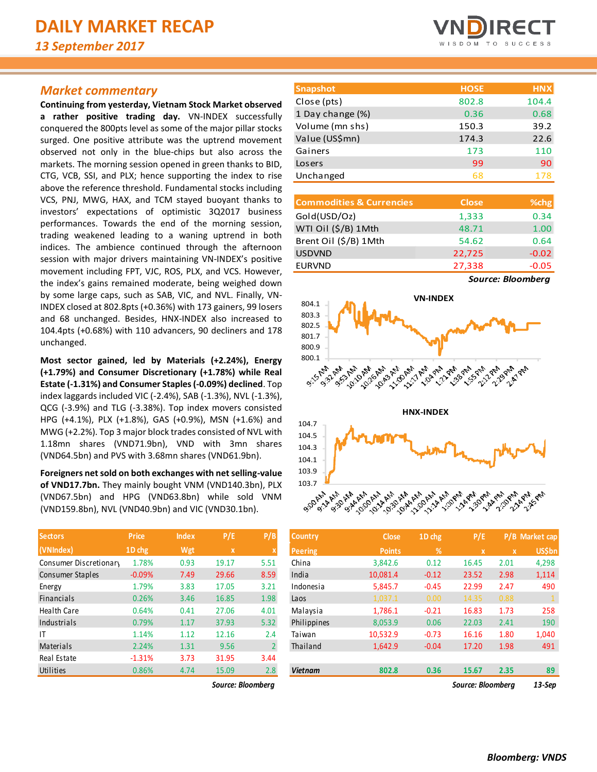# *Market commentary*

**Continuing from yesterday, Vietnam Stock Market observed a rather positive trading day.** VN-INDEX successfully conquered the 800pts level as some of the major pillar stocks surged. One positive attribute was the uptrend movement observed not only in the blue-chips but also across the markets. The morning session opened in green thanks to BID, CTG, VCB, SSI, and PLX; hence supporting the index to rise above the reference threshold. Fundamental stocks including VCS, PNJ, MWG, HAX, and TCM stayed buoyant thanks to investors' expectations of optimistic 3Q2017 business performances. Towards the end of the morning session, trading weakened leading to a waning uptrend in both indices. The ambience continued through the afternoon session with major drivers maintaining VN-INDEX's positive movement including FPT, VJC, ROS, PLX, and VCS. However, the index's gains remained moderate, being weighed down by some large caps, such as SAB, VIC, and NVL. Finally, VN-INDEX closed at 802.8pts (+0.36%) with 173 gainers, 99 losers and 68 unchanged. Besides, HNX-INDEX also increased to 104.4pts (+0.68%) with 110 advancers, 90 decliners and 178 unchanged.

**Most sector gained, led by Materials (+2.24%), Energy (+1.79%) and Consumer Discretionary (+1.78%) while Real Estate (-1.31%) and Consumer Staples (-0.09%) declined**. Top index laggards included VIC (-2.4%), SAB (-1.3%), NVL (-1.3%), QCG (-3.9%) and TLG (-3.38%). Top index movers consisted HPG (+4.1%), PLX (+1.8%), GAS (+0.9%), MSN (+1.6%) and MWG (+2.2%). Top 3 major block trades consisted of NVL with 1.18mn shares (VND71.9bn), VND with 3mn shares (VND64.5bn) and PVS with 3.68mn shares (VND61.9bn).

**Foreigners net sold on both exchanges with net selling-value of VND17.7bn.** They mainly bought VNM (VND140.3bn), PLX (VND67.5bn) and HPG (VND63.8bn) while sold VNM (VND159.8bn), NVL (VND40.9bn) and VIC (VND30.1bn).

| <b>Sectors</b>         | <b>Price</b> | <b>Index</b> | P/E   | P/B            |
|------------------------|--------------|--------------|-------|----------------|
| (VNIndex)              | 1D chg       | Wgt          | x     | X              |
| Consumer Discretionary | 1.78%        | 0.93         | 19.17 | 5.51           |
| Consumer Staples       | $-0.09%$     | 7.49         | 29.66 | 8.59           |
| Energy                 | 1.79%        | 3.83         | 17.05 | 3.21           |
| <b>Financials</b>      | 0.26%        | 3.46         | 16.85 | 1.98           |
| <b>Health Care</b>     | 0.64%        | 0.41         | 27.06 | 4.01           |
| Industrials            | 0.79%        | 1.17         | 37.93 | 5.32           |
| ΙT                     | 1.14%        | 1.12         | 12.16 | 2.4            |
| Materials              | 2.24%        | 1.31         | 9.56  | $\overline{2}$ |
| Real Estate            | $-1.31%$     | 3.73         | 31.95 | 3.44           |
| Utilities              | 0.86%        | 4.74         | 15.09 | 2.8            |

*Source: Bloomberg Source: Bloomberg 13-Sep*



| <b>Snapshot</b>  | <b>HOSE</b> | <b>HNX</b> |
|------------------|-------------|------------|
| Close (pts)      | 802.8       | 104.4      |
| 1 Day change (%) | 0.36        | 0.68       |
| Volume (mn shs)  | 150.3       | 39.2       |
| Value (US\$mn)   | 174.3       | 22.6       |
| Gainers          | 173         | 110        |
| Losers           | 99          | 90         |
| Unchanged        | 68          | 178        |
|                  |             |            |

| <b>Commodities &amp; Currencies</b> | <b>Close</b> | % <sub>chg</sub>                      |
|-------------------------------------|--------------|---------------------------------------|
| Gold(USD/Oz)                        | 1,333        | 0.34                                  |
| WTI Oil (\$/B) 1Mth                 | 48.71        | 1.00                                  |
| Brent Oil (\$/B) 1Mth               | 54.62        | 0.64                                  |
| <b>USDVND</b>                       | 22,725       | $-0.02$                               |
| <b>EURVND</b>                       | 27,338       | $-0.05$                               |
|                                     |              | $\bullet$ and $\bullet$ and $\bullet$ |

*Source: Bloomberg*



| <b>Sectors</b>         | <b>Price</b> | <b>Index</b> | P/E               | P/B            | <b>Country</b> | <b>Close</b>  | 1D chg  | P/E               |             | P/B Market cap |
|------------------------|--------------|--------------|-------------------|----------------|----------------|---------------|---------|-------------------|-------------|----------------|
| (VNIndex)              | 1D chg       | Wgt          | $\mathbf{x}$      |                | Peering        | <b>Points</b> | %       | $\mathbf x$       | $\mathbf x$ | <b>US\$bn</b>  |
| Consumer Discretionary | 1.78%        | 0.93         | 19.17             | 5.51           | China          | 3,842.6       | 0.12    | 16.45             | 2.01        | 4,298          |
| Consumer Staples       | $-0.09%$     | 7.49         | 29.66             | 8.59           | India          | 10,081.4      | $-0.12$ | 23.52             | 2.98        | 1,114          |
| Energy                 | 1.79%        | 3.83         | 17.05             | 3.21           | Indonesia      | 5,845.7       | $-0.45$ | 22.99             | 2.47        | 490            |
| Financials             | 0.26%        | 3.46         | 16.85             | 1.98           | Laos           | 1,037.1       | 0.00    | 14.35             | 0.88        |                |
| Health Care            | 0.64%        | 0.41         | 27.06             | 4.01           | Malaysia       | 1,786.1       | $-0.21$ | 16.83             | 1.73        | 258            |
| Industrials            | 0.79%        | 1.17         | 37.93             | 5.32           | Philippines    | 8,053.9       | 0.06    | 22.03             | 2.41        | 190            |
| ΙT                     | 1.14%        | 1.12         | 12.16             | 2.4            | Taiwan         | 10,532.9      | $-0.73$ | 16.16             | 1.80        | 1,040          |
| Materials              | 2.24%        | 1.31         | 9.56              | $\overline{2}$ | Thailand       | 1,642.9       | $-0.04$ | 17.20             | 1.98        | 491            |
| Real Estate            | $-1.31%$     | 3.73         | 31.95             | 3.44           |                |               |         |                   |             |                |
| Utilities              | 0.86%        | 4.74         | 15.09             | 2.8            | <b>Vietnam</b> | 802.8         | 0.36    | 15.67             | 2.35        | 89             |
|                        |              |              | Source: Bloombera |                |                |               |         | Source: Bloombera |             | $13-$ Sep      |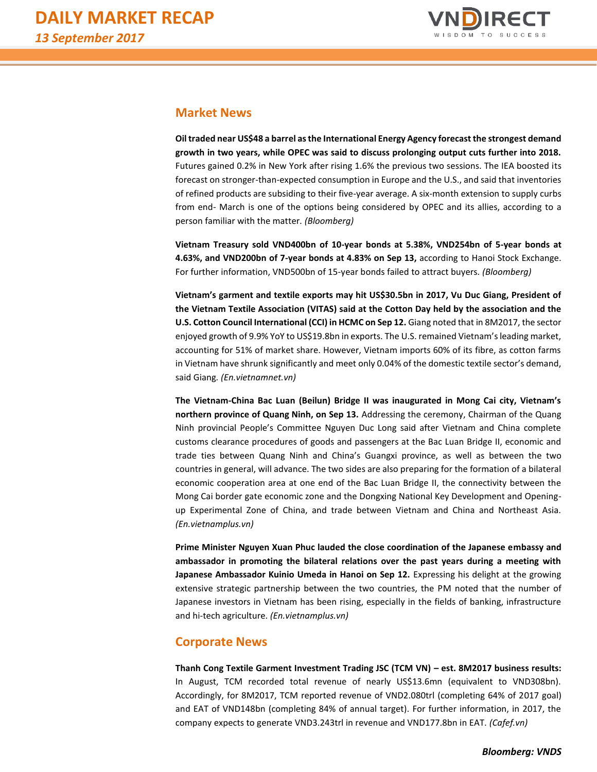

# **Market News**

**Oil traded near US\$48 a barrel as the International Energy Agency forecast the strongest demand growth in two years, while OPEC was said to discuss prolonging output cuts further into 2018.** Futures gained 0.2% in New York after rising 1.6% the previous two sessions. The IEA boosted its forecast on stronger-than-expected consumption in Europe and the U.S., and said that inventories of refined products are subsiding to their five-year average. A six-month extension to supply curbs from end- March is one of the options being considered by OPEC and its allies, according to a person familiar with the matter*. (Bloomberg)*

**Vietnam Treasury sold VND400bn of 10-year bonds at 5.38%, VND254bn of 5-year bonds at 4.63%, and VND200bn of 7-year bonds at 4.83% on Sep 13,** according to Hanoi Stock Exchange. For further information, VND500bn of 15-year bonds failed to attract buyers*. (Bloomberg)*

**Vietnam's garment and textile exports may hit US\$30.5bn in 2017, Vu Duc Giang, President of the Vietnam Textile Association (VITAS) said at the Cotton Day held by the association and the U.S. Cotton Council International (CCI) in HCMC on Sep 12.** Giang noted that in 8M2017, the sector enjoyed growth of 9.9% YoY to US\$19.8bn in exports. The U.S. remained Vietnam's leading market, accounting for 51% of market share. However, Vietnam imports 60% of its fibre, as cotton farms in Vietnam have shrunk significantly and meet only 0.04% of the domestic textile sector's demand, said Giang*. (En.vietnamnet.vn)*

**The Vietnam-China Bac Luan (Beilun) Bridge II was inaugurated in Mong Cai city, Vietnam's northern province of Quang Ninh, on Sep 13.** Addressing the ceremony, Chairman of the Quang Ninh provincial People's Committee Nguyen Duc Long said after Vietnam and China complete customs clearance procedures of goods and passengers at the Bac Luan Bridge II, economic and trade ties between Quang Ninh and China's Guangxi province, as well as between the two countries in general, will advance. The two sides are also preparing for the formation of a bilateral economic cooperation area at one end of the Bac Luan Bridge II, the connectivity between the Mong Cai border gate economic zone and the Dongxing National Key Development and Openingup Experimental Zone of China, and trade between Vietnam and China and Northeast Asia. *(En.vietnamplus.vn)*

**Prime Minister Nguyen Xuan Phuc lauded the close coordination of the Japanese embassy and ambassador in promoting the bilateral relations over the past years during a meeting with Japanese Ambassador Kuinio Umeda in Hanoi on Sep 12.** Expressing his delight at the growing extensive strategic partnership between the two countries, the PM noted that the number of Japanese investors in Vietnam has been rising, especially in the fields of banking, infrastructure and hi-tech agriculture. *(En.vietnamplus.vn)*

# **Corporate News**

**Thanh Cong Textile Garment Investment Trading JSC (TCM VN) – est. 8M2017 business results:**  In August, TCM recorded total revenue of nearly US\$13.6mn (equivalent to VND308bn). Accordingly, for 8M2017, TCM reported revenue of VND2.080trl (completing 64% of 2017 goal) and EAT of VND148bn (completing 84% of annual target). For further information, in 2017, the company expects to generate VND3.243trl in revenue and VND177.8bn in EAT. *(Cafef.vn)*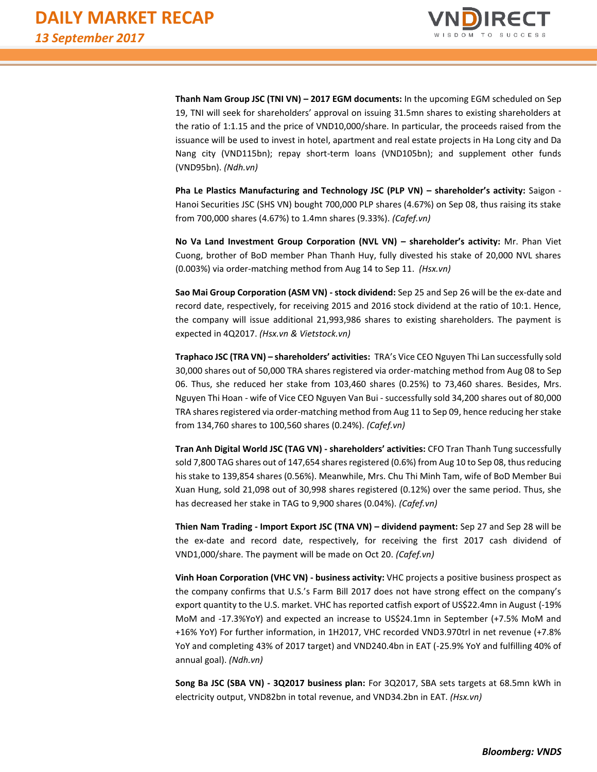

**Thanh Nam Group JSC (TNI VN) – 2017 EGM documents:** In the upcoming EGM scheduled on Sep 19, TNI will seek for shareholders' approval on issuing 31.5mn shares to existing shareholders at the ratio of 1:1.15 and the price of VND10,000/share. In particular, the proceeds raised from the issuance will be used to invest in hotel, apartment and real estate projects in Ha Long city and Da Nang city (VND115bn); repay short-term loans (VND105bn); and supplement other funds (VND95bn). *(Ndh.vn)*

**Pha Le Plastics Manufacturing and Technology JSC (PLP VN) – shareholder's activity:** Saigon - Hanoi Securities JSC (SHS VN) bought 700,000 PLP shares (4.67%) on Sep 08, thus raising its stake from 700,000 shares (4.67%) to 1.4mn shares (9.33%). *(Cafef.vn)*

**No Va Land Investment Group Corporation (NVL VN) – shareholder's activity:** Mr. Phan Viet Cuong, brother of BoD member Phan Thanh Huy, fully divested his stake of 20,000 NVL shares (0.003%) via order-matching method from Aug 14 to Sep 11. *(Hsx.vn)*

**Sao Mai Group Corporation (ASM VN) - stock dividend:** Sep 25 and Sep 26 will be the ex-date and record date, respectively, for receiving 2015 and 2016 stock dividend at the ratio of 10:1. Hence, the company will issue additional 21,993,986 shares to existing shareholders. The payment is expected in 4Q2017. *(Hsx.vn & Vietstock.vn)*

**Traphaco JSC (TRA VN) – shareholders' activities:** TRA's Vice CEO Nguyen Thi Lan successfully sold 30,000 shares out of 50,000 TRA shares registered via order-matching method from Aug 08 to Sep 06. Thus, she reduced her stake from 103,460 shares (0.25%) to 73,460 shares. Besides, Mrs. Nguyen Thi Hoan - wife of Vice CEO Nguyen Van Bui - successfully sold 34,200 shares out of 80,000 TRA shares registered via order-matching method from Aug 11 to Sep 09, hence reducing her stake from 134,760 shares to 100,560 shares (0.24%). *(Cafef.vn)*

**Tran Anh Digital World JSC (TAG VN) - shareholders' activities:** CFO Tran Thanh Tung successfully sold 7,800 TAG shares out of 147,654 shares registered (0.6%) from Aug 10 to Sep 08, thus reducing his stake to 139,854 shares (0.56%). Meanwhile, Mrs. Chu Thi Minh Tam, wife of BoD Member Bui Xuan Hung, sold 21,098 out of 30,998 shares registered (0.12%) over the same period. Thus, she has decreased her stake in TAG to 9,900 shares (0.04%). *(Cafef.vn)*

**Thien Nam Trading - Import Export JSC (TNA VN) – dividend payment:** Sep 27 and Sep 28 will be the ex-date and record date, respectively, for receiving the first 2017 cash dividend of VND1,000/share. The payment will be made on Oct 20. *(Cafef.vn)*

**Vinh Hoan Corporation (VHC VN) - business activity:** VHC projects a positive business prospect as the company confirms that U.S.'s Farm Bill 2017 does not have strong effect on the company's export quantity to the U.S. market. VHC has reported catfish export of US\$22.4mn in August (-19% MoM and -17.3%YoY) and expected an increase to US\$24.1mn in September (+7.5% MoM and +16% YoY) For further information, in 1H2017, VHC recorded VND3.970trl in net revenue (+7.8% YoY and completing 43% of 2017 target) and VND240.4bn in EAT (-25.9% YoY and fulfilling 40% of annual goal). *(Ndh.vn)*

**Song Ba JSC (SBA VN) - 3Q2017 business plan:** For 3Q2017, SBA sets targets at 68.5mn kWh in electricity output, VND82bn in total revenue, and VND34.2bn in EAT. *(Hsx.vn)*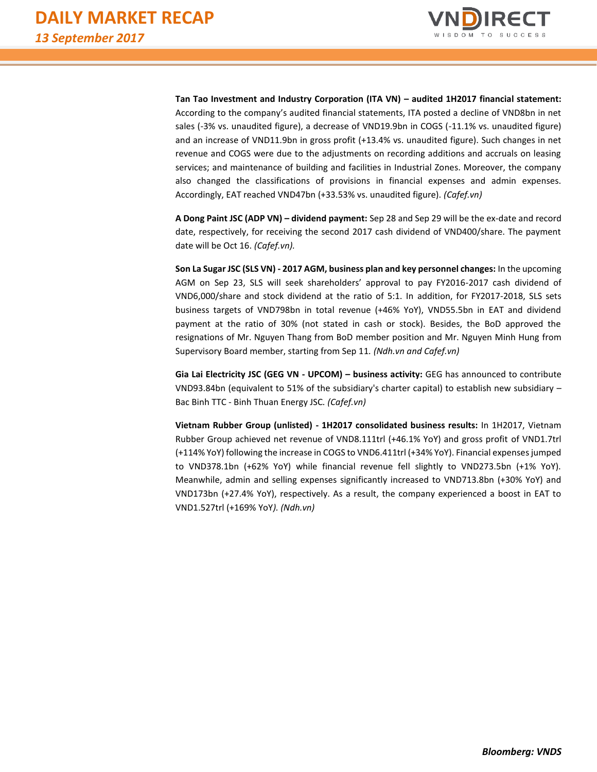

**Tan Tao Investment and Industry Corporation (ITA VN) – audited 1H2017 financial statement:**  According to the company's audited financial statements, ITA posted a decline of VND8bn in net sales (-3% vs. unaudited figure), a decrease of VND19.9bn in COGS (-11.1% vs. unaudited figure) and an increase of VND11.9bn in gross profit (+13.4% vs. unaudited figure). Such changes in net revenue and COGS were due to the adjustments on recording additions and accruals on leasing services; and maintenance of building and facilities in Industrial Zones. Moreover, the company also changed the classifications of provisions in financial expenses and admin expenses. Accordingly, EAT reached VND47bn (+33.53% vs. unaudited figure). *(Cafef.vn)*

**A Dong Paint JSC (ADP VN) – dividend payment:** Sep 28 and Sep 29 will be the ex-date and record date, respectively, for receiving the second 2017 cash dividend of VND400/share. The payment date will be Oct 16. *(Cafef.vn).*

**Son La Sugar JSC (SLS VN) - 2017 AGM, business plan and key personnel changes:** In the upcoming AGM on Sep 23, SLS will seek shareholders' approval to pay FY2016-2017 cash dividend of VND6,000/share and stock dividend at the ratio of 5:1. In addition, for FY2017-2018, SLS sets business targets of VND798bn in total revenue (+46% YoY), VND55.5bn in EAT and dividend payment at the ratio of 30% (not stated in cash or stock). Besides, the BoD approved the resignations of Mr. Nguyen Thang from BoD member position and Mr. Nguyen Minh Hung from Supervisory Board member, starting from Sep 11*. (Ndh.vn and Cafef.vn)*

**Gia Lai Electricity JSC (GEG VN - UPCOM) – business activity:** GEG has announced to contribute VND93.84bn (equivalent to 51% of the subsidiary's charter capital) to establish new subsidiary – Bac Binh TTC - Binh Thuan Energy JSC*. (Cafef.vn)*

**Vietnam Rubber Group (unlisted) - 1H2017 consolidated business results:** In 1H2017, Vietnam Rubber Group achieved net revenue of VND8.111trl (+46.1% YoY) and gross profit of VND1.7trl (+114% YoY) following the increase in COGS to VND6.411trl (+34% YoY). Financial expenses jumped to VND378.1bn (+62% YoY) while financial revenue fell slightly to VND273.5bn (+1% YoY). Meanwhile, admin and selling expenses significantly increased to VND713.8bn (+30% YoY) and VND173bn (+27.4% YoY), respectively. As a result, the company experienced a boost in EAT to VND1.527trl (+169% YoY*). (Ndh.vn)*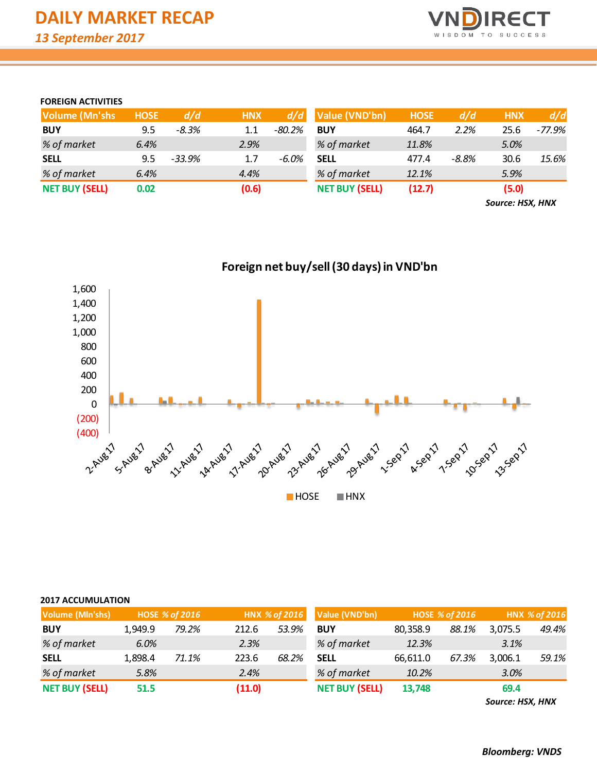

## **FOREIGN ACTIVITIES**

| <b>Volume (Mn'shs)</b> | <b>HOSE</b> | d/d      | <b>HNX</b> | d/d      | Value (VND'bn)        | <b>HOSE</b> | d/d   | <b>HNX</b> | d/d      |
|------------------------|-------------|----------|------------|----------|-----------------------|-------------|-------|------------|----------|
| <b>BUY</b>             | 9.5         | $-8.3%$  | 1.1        | $-80.2%$ | <b>BUY</b>            | 464.7       | 2.2%  | 25.6       | $-77.9%$ |
| % of market            | 6.4%        |          | 2.9%       |          | % of market           | 11.8%       |       | 5.0%       |          |
| <b>SELL</b>            | 9.5         | $-33.9%$ | 1.7        | -6.0%    | <b>SELL</b>           | 477.4       | -8.8% | 30.6       | 15.6%    |
| % of market            | 6.4%        |          | 4.4%       |          | % of market           | 12.1%       |       | 5.9%       |          |
| <b>NET BUY (SELL)</b>  | 0.02        |          | (0.6)      |          | <b>NET BUY (SELL)</b> | (12.7)      |       | (5.0)      |          |

*Source: HSX, HNX*



|  |  |  | <b>2017 ACCUMULATION</b> |
|--|--|--|--------------------------|
|--|--|--|--------------------------|

| <b>Volume (MIn'shs)</b> |         | <b>HOSE % of 2016</b> |        | HNX % of 2016 | Value (VND'bn)        | <b>HOSE % of 2016</b> |       |         | HNX % of 2016 |
|-------------------------|---------|-----------------------|--------|---------------|-----------------------|-----------------------|-------|---------|---------------|
| <b>BUY</b>              | 1.949.9 | 79.2%                 | 212.6  | 53.9%         | <b>BUY</b>            | 80,358.9              | 88.1% | 3.075.5 | 49.4%         |
| % of market             | 6.0%    |                       | 2.3%   |               | % of market           | 12.3%                 |       | 3.1%    |               |
| <b>SELL</b>             | 1,898.4 | 71.1%                 | 223.6  | 68.2%         | <b>SELL</b>           | 66,611.0              | 67.3% | 3,006.1 | 59.1%         |
| % of market             | 5.8%    |                       | 2.4%   |               | % of market           | 10.2%                 |       | 3.0%    |               |
| <b>NET BUY (SELL)</b>   | 51.5    |                       | (11.0) |               | <b>NET BUY (SELL)</b> | 13,748                |       | 69.4    |               |

*Source: HSX, HNX*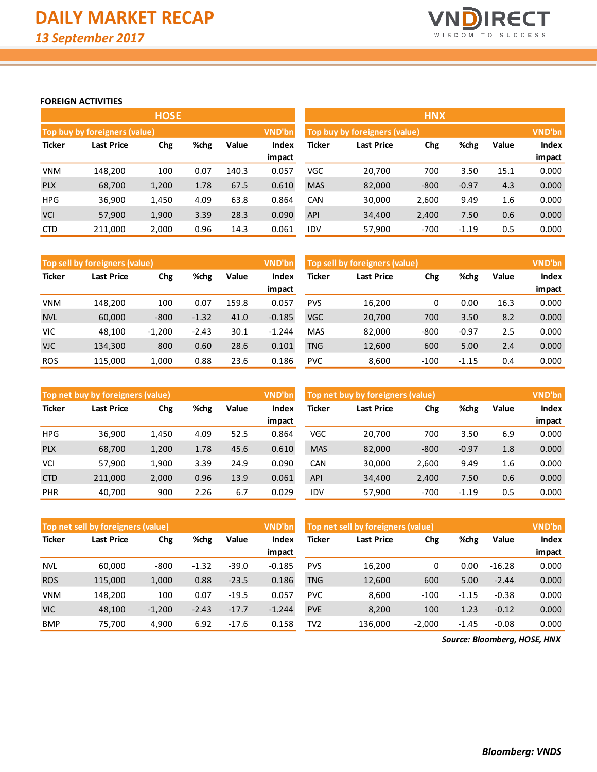

## **FOREIGN ACTIVITIES**

|               |                               | <b>HOSE</b> |      |       |               |            |                                         | <b>HNX</b> |         |       |              |  |  |
|---------------|-------------------------------|-------------|------|-------|---------------|------------|-----------------------------------------|------------|---------|-------|--------------|--|--|
|               | Top buy by foreigners (value) |             |      |       | <b>VND'bn</b> |            | VND'bn<br>Top buy by foreigners (value) |            |         |       |              |  |  |
| <b>Ticker</b> | <b>Last Price</b>             | Chg         | %chg | Value | Index         | Ticker     | <b>Last Price</b>                       | Chg        | %chg    | Value | <b>Index</b> |  |  |
|               |                               |             |      |       | impact        |            |                                         |            |         |       | impact       |  |  |
| <b>VNM</b>    | 148.200                       | 100         | 0.07 | 140.3 | 0.057         | <b>VGC</b> | 20,700                                  | 700        | 3.50    | 15.1  | 0.000        |  |  |
| <b>PLX</b>    | 68,700                        | 1,200       | 1.78 | 67.5  | 0.610         | <b>MAS</b> | 82,000                                  | $-800$     | $-0.97$ | 4.3   | 0.000        |  |  |
| <b>HPG</b>    | 36,900                        | 1,450       | 4.09 | 63.8  | 0.864         | CAN        | 30,000                                  | 2,600      | 9.49    | 1.6   | 0.000        |  |  |
| <b>VCI</b>    | 57,900                        | 1,900       | 3.39 | 28.3  | 0.090         | <b>API</b> | 34,400                                  | 2,400      | 7.50    | 0.6   | 0.000        |  |  |
| <b>CTD</b>    | 211,000                       | 2,000       | 0.96 | 14.3  | 0.061         | <b>IDV</b> | 57,900                                  | $-700$     | $-1.19$ | 0.5   | 0.000        |  |  |

|               | VND'bn<br>Top sell by foreigners (value) |             |         |       |          | Top sell by foreigners (value) |                   |        |         |       | VND'bn       |
|---------------|------------------------------------------|-------------|---------|-------|----------|--------------------------------|-------------------|--------|---------|-------|--------------|
| <b>Ticker</b> | Last Price                               | %chg<br>Chg |         | Value | Index    | <b>Ticker</b>                  | <b>Last Price</b> | Chg    | %chg    | Value | <b>Index</b> |
|               |                                          |             |         |       | impact   |                                |                   |        |         |       | impact       |
| <b>VNM</b>    | 148.200                                  | 100         | 0.07    | 159.8 | 0.057    | <b>PVS</b>                     | 16,200            | 0      | 0.00    | 16.3  | 0.000        |
| <b>NVL</b>    | 60,000                                   | $-800$      | $-1.32$ | 41.0  | $-0.185$ | <b>VGC</b>                     | 20,700            | 700    | 3.50    | 8.2   | 0.000        |
| VIC           | 48.100                                   | $-1,200$    | $-2.43$ | 30.1  | $-1.244$ | <b>MAS</b>                     | 82.000            | $-800$ | $-0.97$ | 2.5   | 0.000        |
| <b>VJC</b>    | 134,300                                  | 800         | 0.60    | 28.6  | 0.101    | TNG                            | 12,600            | 600    | 5.00    | 2.4   | 0.000        |
| <b>ROS</b>    | 115.000                                  | 1.000       | 0.88    | 23.6  | 0.186    | <b>PVC</b>                     | 8,600             | $-100$ | $-1.15$ | 0.4   | 0.000        |

|               | Top net buy by foreigners (value) |       |       |       |               | Top net buy by foreigners (value) |        | VND'bn |         |              |        |
|---------------|-----------------------------------|-------|-------|-------|---------------|-----------------------------------|--------|--------|---------|--------------|--------|
| <b>Ticker</b> | %chg<br>Chg<br>Last Price         |       | Value | Index | <b>Ticker</b> | <b>Last Price</b>                 | Chg    | %chg   | Value   | <b>Index</b> |        |
|               |                                   |       |       |       | impact        |                                   |        |        |         |              | impact |
| <b>HPG</b>    | 36,900                            | 1,450 | 4.09  | 52.5  | 0.864         | VGC                               | 20.700 | 700    | 3.50    | 6.9          | 0.000  |
| <b>PLX</b>    | 68,700                            | 1,200 | 1.78  | 45.6  | 0.610         | <b>MAS</b>                        | 82,000 | $-800$ | $-0.97$ | 1.8          | 0.000  |
| <b>VCI</b>    | 57,900                            | 1,900 | 3.39  | 24.9  | 0.090         | <b>CAN</b>                        | 30,000 | 2,600  | 9.49    | 1.6          | 0.000  |
| <b>CTD</b>    | 211,000                           | 2,000 | 0.96  | 13.9  | 0.061         | <b>API</b>                        | 34,400 | 2,400  | 7.50    | 0.6          | 0.000  |
| PHR           | 40,700                            | 900   | 2.26  | 6.7   | 0.029         | IDV                               | 57,900 | $-700$ | $-1.19$ | 0.5          | 0.000  |

|               | Top net sell by foreigners (value) |                      |         |         | VND'bn   |            | Top net sell by foreigners (value) |          |         |          |        |
|---------------|------------------------------------|----------------------|---------|---------|----------|------------|------------------------------------|----------|---------|----------|--------|
| <b>Ticker</b> | Last Price                         | %chg<br>Value<br>Chg |         |         | Index    | Ticker     | Chg<br>%chg<br><b>Last Price</b>   |          |         | Value    | Index  |
|               |                                    |                      |         |         | impact   |            |                                    |          |         |          | impact |
| <b>NVL</b>    | 60,000                             | $-800$               | $-1.32$ | $-39.0$ | $-0.185$ | <b>PVS</b> | 16,200                             | 0        | 0.00    | $-16.28$ | 0.000  |
| <b>ROS</b>    | 115.000                            | 1,000                | 0.88    | $-23.5$ | 0.186    | <b>TNG</b> | 12,600                             | 600      | 5.00    | $-2.44$  | 0.000  |
| <b>VNM</b>    | 148.200                            | 100                  | 0.07    | $-19.5$ | 0.057    | <b>PVC</b> | 8.600                              | $-100$   | $-1.15$ | $-0.38$  | 0.000  |
| <b>VIC</b>    | 48,100                             | $-1,200$             | $-2.43$ | $-17.7$ | $-1.244$ | <b>PVE</b> | 8,200                              | 100      | 1.23    | $-0.12$  | 0.000  |
| <b>BMP</b>    | 75,700                             | 4,900                | 6.92    | $-17.6$ | 0.158    | TV2        | 136,000                            | $-2,000$ | $-1.45$ | $-0.08$  | 0.000  |

*Source: Bloomberg, HOSE, HNX*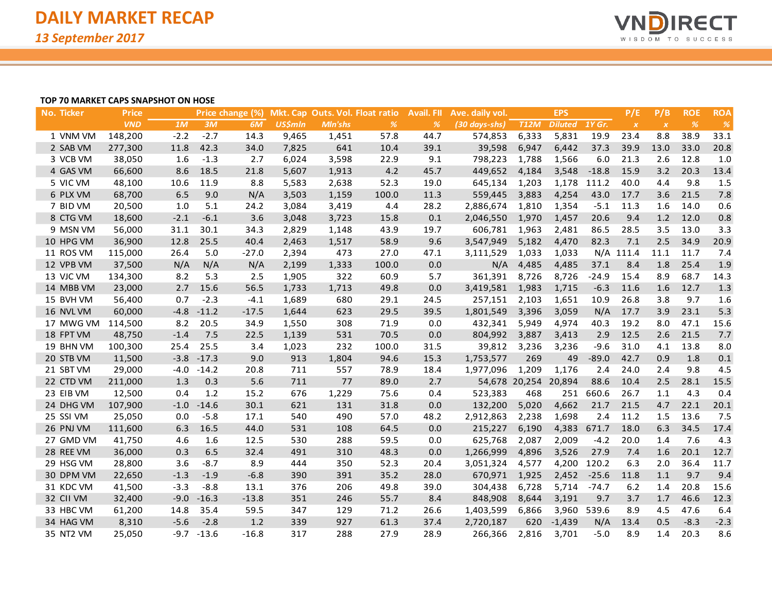

#### **TOP 70 MARKET CAPS SNAPSHOT ON HOSE**

| No. Ticker | <b>Price</b> |        |         | Price change (%) |                |         | Mkt. Cap Outs. Vol. Float ratio | <b>Avail. FII</b> | Ave. daily vol. |                      | <b>EPS</b>     |               | P/E              | P/B              | <b>ROE</b> | <b>ROA</b> |
|------------|--------------|--------|---------|------------------|----------------|---------|---------------------------------|-------------------|-----------------|----------------------|----------------|---------------|------------------|------------------|------------|------------|
|            | <b>VND</b>   | 1M     | 3M      | 6M               | <b>US\$mln</b> | Mln'shs | $\frac{9}{6}$                   | $\frac{9}{6}$     | (30 days-shs)   | <b>T12M</b>          | <b>Diluted</b> | <b>1Y Gr.</b> | $\boldsymbol{X}$ | $\boldsymbol{X}$ | $\%$       | %          |
| 1 VNM VM   | 148,200      | $-2.2$ | $-2.7$  | 14.3             | 9,465          | 1,451   | 57.8                            | 44.7              | 574,853         | 6,333                | 5,831          | 19.9          | 23.4             | 8.8              | 38.9       | 33.1       |
| 2 SAB VM   | 277,300      | 11.8   | 42.3    | 34.0             | 7,825          | 641     | 10.4                            | 39.1              | 39,598          | 6,947                | 6,442          | 37.3          | 39.9             | 13.0             | 33.0       | 20.8       |
| 3 VCB VM   | 38,050       | 1.6    | $-1.3$  | 2.7              | 6,024          | 3,598   | 22.9                            | 9.1               | 798,223         | 1,788                | 1,566          | 6.0           | 21.3             | 2.6              | 12.8       | 1.0        |
| 4 GAS VM   | 66,600       | 8.6    | 18.5    | 21.8             | 5,607          | 1,913   | 4.2                             | 45.7              | 449,652         | 4,184                | 3,548          | $-18.8$       | 15.9             | 3.2              | 20.3       | 13.4       |
| 5 VIC VM   | 48,100       | 10.6   | 11.9    | 8.8              | 5,583          | 2,638   | 52.3                            | 19.0              | 645,134         | 1,203                | 1,178          | 111.2         | 40.0             | 4.4              | 9.8        | 1.5        |
| 6 PLX VM   | 68,700       | 6.5    | 9.0     | N/A              | 3,503          | 1,159   | 100.0                           | 11.3              | 559,445         | 3,883                | 4,254          | 43.0          | 17.7             | 3.6              | 21.5       | 7.8        |
| 7 BID VM   | 20,500       | 1.0    | 5.1     | 24.2             | 3,084          | 3,419   | 4.4                             | 28.2              | 2,886,674       | 1,810                | 1,354          | $-5.1$        | 11.3             | 1.6              | 14.0       | 0.6        |
| 8 CTG VM   | 18,600       | $-2.1$ | $-6.1$  | 3.6              | 3,048          | 3,723   | 15.8                            | 0.1               | 2,046,550       | 1,970                | 1,457          | 20.6          | 9.4              | $1.2$            | 12.0       | 0.8        |
| 9 MSN VM   | 56,000       | 31.1   | 30.1    | 34.3             | 2,829          | 1,148   | 43.9                            | 19.7              | 606,781         | 1,963                | 2,481          | 86.5          | 28.5             | 3.5              | 13.0       | 3.3        |
| 10 HPG VM  | 36,900       | 12.8   | 25.5    | 40.4             | 2,463          | 1,517   | 58.9                            | 9.6               | 3,547,949       | 5,182                | 4,470          | 82.3          | 7.1              | 2.5              | 34.9       | 20.9       |
| 11 ROS VM  | 115,000      | 26.4   | 5.0     | $-27.0$          | 2,394          | 473     | 27.0                            | 47.1              | 3,111,529       | 1,033                | 1,033          |               | N/A 111.4        | 11.1             | 11.7       | 7.4        |
| 12 VPB VM  | 37,500       | N/A    | N/A     | N/A              | 2,199          | 1,333   | 100.0                           | 0.0               | N/A             | 4,485                | 4,485          | 37.1          | 8.4              | 1.8              | 25.4       | 1.9        |
| 13 VJC VM  | 134,300      | 8.2    | 5.3     | 2.5              | 1,905          | 322     | 60.9                            | 5.7               | 361,391         | 8,726                | 8,726          | $-24.9$       | 15.4             | 8.9              | 68.7       | 14.3       |
| 14 MBB VM  | 23,000       | 2.7    | 15.6    | 56.5             | 1,733          | 1,713   | 49.8                            | 0.0               | 3,419,581       | 1,983                | 1,715          | $-6.3$        | 11.6             | 1.6              | 12.7       | 1.3        |
| 15 BVH VM  | 56,400       | 0.7    | $-2.3$  | $-4.1$           | 1,689          | 680     | 29.1                            | 24.5              | 257,151         | 2,103                | 1,651          | 10.9          | 26.8             | 3.8              | 9.7        | 1.6        |
| 16 NVL VM  | 60,000       | $-4.8$ | $-11.2$ | $-17.5$          | 1,644          | 623     | 29.5                            | 39.5              | 1,801,549       | 3,396                | 3,059          | N/A           | 17.7             | 3.9              | 23.1       | 5.3        |
| 17 MWG VM  | 114,500      | 8.2    | 20.5    | 34.9             | 1,550          | 308     | 71.9                            | 0.0               | 432,341         | 5,949                | 4,974          | 40.3          | 19.2             | 8.0              | 47.1       | 15.6       |
| 18 FPT VM  | 48.750       | $-1.4$ | 7.5     | 22.5             | 1,139          | 531     | 70.5                            | 0.0               | 804,992         | 3,887                | 3,413          | 2.9           | 12.5             | 2.6              | 21.5       | 7.7        |
| 19 BHN VM  | 100,300      | 25.4   | 25.5    | 3.4              | 1,023          | 232     | 100.0                           | 31.5              | 39,812          | 3,236                | 3,236          | $-9.6$        | 31.0             | 4.1              | 13.8       | 8.0        |
| 20 STB VM  | 11,500       | $-3.8$ | $-17.3$ | 9.0              | 913            | 1,804   | 94.6                            | 15.3              | 1,753,577       | 269                  | 49             | $-89.0$       | 42.7             | 0.9              | 1.8        | 0.1        |
| 21 SBT VM  | 29,000       | $-4.0$ | $-14.2$ | 20.8             | 711            | 557     | 78.9                            | 18.4              | 1,977,096       | 1,209                | 1,176          | 2.4           | 24.0             | 2.4              | 9.8        | 4.5        |
| 22 CTD VM  | 211,000      | 1.3    | 0.3     | 5.6              | 711            | 77      | 89.0                            | 2.7               |                 | 54,678 20,254 20,894 |                | 88.6          | 10.4             | 2.5              | 28.1       | 15.5       |
| 23 EIB VM  | 12,500       | 0.4    | 1.2     | 15.2             | 676            | 1,229   | 75.6                            | 0.4               | 523,383         | 468                  | 251            | 660.6         | 26.7             | 1.1              | 4.3        | 0.4        |
| 24 DHG VM  | 107,900      | $-1.0$ | $-14.6$ | 30.1             | 621            | 131     | 31.8                            | 0.0               | 132,200         | 5,020                | 4,662          | 21.7          | 21.5             | 4.7              | 22.1       | 20.1       |
| 25 SSI VM  | 25,050       | 0.0    | $-5.8$  | 17.1             | 540            | 490     | 57.0                            | 48.2              | 2,912,863       | 2,238                | 1,698          | 2.4           | 11.2             | 1.5              | 13.6       | 7.5        |
| 26 PNJ VM  | 111,600      | 6.3    | 16.5    | 44.0             | 531            | 108     | 64.5                            | 0.0               | 215,227         | 6,190                | 4,383          | 671.7         | 18.0             | 6.3              | 34.5       | 17.4       |
| 27 GMD VM  | 41,750       | 4.6    | 1.6     | 12.5             | 530            | 288     | 59.5                            | 0.0               | 625,768         | 2,087                | 2,009          | $-4.2$        | 20.0             | 1.4              | 7.6        | 4.3        |
| 28 REE VM  | 36,000       | 0.3    | 6.5     | 32.4             | 491            | 310     | 48.3                            | 0.0               | 1,266,999       | 4,896                | 3,526          | 27.9          | 7.4              | 1.6              | 20.1       | 12.7       |
| 29 HSG VM  | 28,800       | 3.6    | $-8.7$  | 8.9              | 444            | 350     | 52.3                            | 20.4              | 3,051,324       | 4,577                | 4,200          | 120.2         | 6.3              | 2.0              | 36.4       | 11.7       |
| 30 DPM VM  | 22,650       | $-1.3$ | $-1.9$  | $-6.8$           | 390            | 391     | 35.2                            | 28.0              | 670,971         | 1,925                | 2,452          | $-25.6$       | 11.8             | 1.1              | 9.7        | 9.4        |
| 31 KDC VM  | 41,500       | $-3.3$ | $-8.8$  | 13.1             | 376            | 206     | 49.8                            | 39.0              | 304,438         | 6,728                | 5,714          | $-74.7$       | 6.2              | 1.4              | 20.8       | 15.6       |
| 32 CII VM  | 32,400       | $-9.0$ | $-16.3$ | $-13.8$          | 351            | 246     | 55.7                            | 8.4               | 848,908         | 8,644                | 3,191          | 9.7           | 3.7              | 1.7              | 46.6       | 12.3       |
| 33 HBC VM  | 61,200       | 14.8   | 35.4    | 59.5             | 347            | 129     | 71.2                            | 26.6              | 1,403,599       | 6,866                | 3,960          | 539.6         | 8.9              | 4.5              | 47.6       | 6.4        |
| 34 HAG VM  | 8,310        | $-5.6$ | $-2.8$  | 1.2              | 339            | 927     | 61.3                            | 37.4              | 2,720,187       | 620                  | $-1,439$       | N/A           | 13.4             | 0.5              | $-8.3$     | $-2.3$     |
| 35 NT2 VM  | 25,050       | $-9.7$ | $-13.6$ | $-16.8$          | 317            | 288     | 27.9                            | 28.9              | 266,366         | 2,816                | 3,701          | $-5.0$        | 8.9              | 1.4              | 20.3       | 8.6        |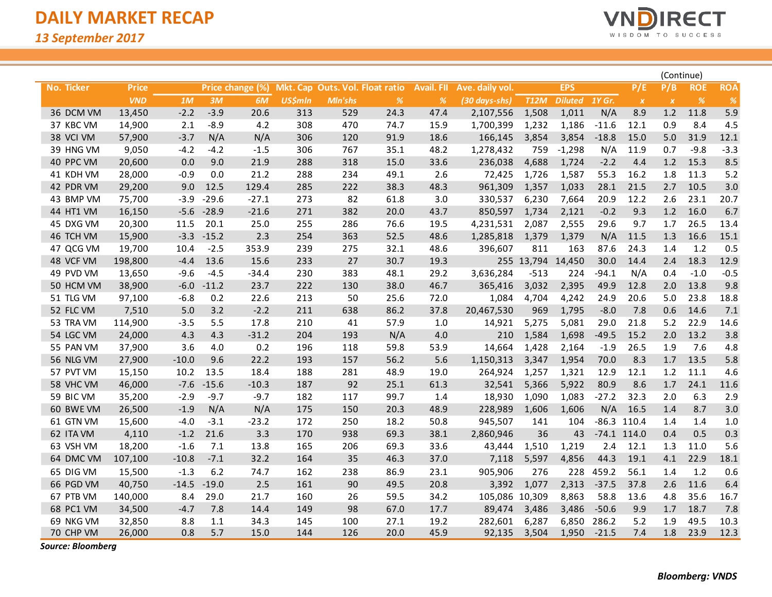$\overline{\phantom{a}}$ 



|            |              |         |         |                  |                |                                 |               |                   |                 |             |                |         |               |                  | (Continue) |               |  |
|------------|--------------|---------|---------|------------------|----------------|---------------------------------|---------------|-------------------|-----------------|-------------|----------------|---------|---------------|------------------|------------|---------------|--|
| No. Ticker | <b>Price</b> |         |         | Price change (%) |                | Mkt. Cap Outs. Vol. Float ratio |               | <b>Avail. FII</b> | Ave. daily vol. |             | <b>EPS</b>     |         | P/E           | P/B              | <b>ROE</b> | <b>ROA</b>    |  |
|            | <b>VND</b>   | 1M      | 3M      | 6M               | <b>US\$mln</b> | <b>MIn'shs</b>                  | $\frac{9}{6}$ | %                 | (30 days-shs)   | <b>T12M</b> | <b>Diluted</b> | 1Y Gr.  | $\pmb{\chi}$  | $\boldsymbol{X}$ | %          | $\frac{9}{6}$ |  |
| 36 DCM VM  | 13,450       | $-2.2$  | $-3.9$  | 20.6             | 313            | 529                             | 24.3          | 47.4              | 2,107,556       | 1,508       | 1,011          | N/A     | 8.9           | 1.2              | 11.8       | 5.9           |  |
| 37 KBC VM  | 14,900       | 2.1     | $-8.9$  | 4.2              | 308            | 470                             | 74.7          | 15.9              | 1,700,399       | 1,232       | 1,186          | $-11.6$ | 12.1          | 0.9              | 8.4        | 4.5           |  |
| 38 VCI VM  | 57,900       | $-3.7$  | N/A     | N/A              | 306            | 120                             | 91.9          | 18.6              | 166,145         | 3,854       | 3,854          | $-18.8$ | 15.0          | 5.0              | 31.9       | 12.1          |  |
| 39 HNG VM  | 9,050        | $-4.2$  | $-4.2$  | $-1.5$           | 306            | 767                             | 35.1          | 48.2              | 1,278,432       | 759         | $-1,298$       | N/A     | 11.9          | 0.7              | $-9.8$     | $-3.3$        |  |
| 40 PPC VM  | 20,600       | 0.0     | 9.0     | 21.9             | 288            | 318                             | 15.0          | 33.6              | 236,038         | 4,688       | 1,724          | $-2.2$  | 4.4           | 1.2              | 15.3       | 8.5           |  |
| 41 KDH VM  | 28,000       | $-0.9$  | 0.0     | 21.2             | 288            | 234                             | 49.1          | 2.6               | 72,425          | 1,726       | 1,587          | 55.3    | 16.2          | 1.8              | 11.3       | 5.2           |  |
| 42 PDR VM  | 29,200       | 9.0     | 12.5    | 129.4            | 285            | 222                             | 38.3          | 48.3              | 961,309         | 1,357       | 1,033          | 28.1    | 21.5          | 2.7              | 10.5       | 3.0           |  |
| 43 BMP VM  | 75,700       | $-3.9$  | $-29.6$ | $-27.1$          | 273            | 82                              | 61.8          | 3.0               | 330,537         | 6,230       | 7,664          | 20.9    | 12.2          | 2.6              | 23.1       | 20.7          |  |
| 44 HT1 VM  | 16,150       | $-5.6$  | $-28.9$ | $-21.6$          | 271            | 382                             | 20.0          | 43.7              | 850,597         | 1,734       | 2,121          | $-0.2$  | 9.3           | 1.2              | 16.0       | 6.7           |  |
| 45 DXG VM  | 20,300       | 11.5    | 20.1    | 25.0             | 255            | 286                             | 76.6          | 19.5              | 4,231,531       | 2,087       | 2,555          | 29.6    | 9.7           | 1.7              | 26.5       | 13.4          |  |
| 46 TCH VM  | 15,900       | $-3.3$  | $-15.2$ | 2.3              | 254            | 363                             | 52.5          | 48.6              | 1,285,818       | 1,379       | 1,379          | N/A     | 11.5          | 1.3              | 16.6       | 15.1          |  |
| 47 QCG VM  | 19,700       | 10.4    | $-2.5$  | 353.9            | 239            | 275                             | 32.1          | 48.6              | 396,607         | 811         | 163            | 87.6    | 24.3          | 1.4              | 1.2        | 0.5           |  |
| 48 VCF VM  | 198,800      | $-4.4$  | 13.6    | 15.6             | 233            | 27                              | 30.7          | 19.3              |                 | 255 13,794  | 14,450         | 30.0    | 14.4          | 2.4              | 18.3       | 12.9          |  |
| 49 PVD VM  | 13,650       | $-9.6$  | $-4.5$  | $-34.4$          | 230            | 383                             | 48.1          | 29.2              | 3,636,284       | $-513$      | 224            | -94.1   | N/A           | 0.4              | $-1.0$     | $-0.5$        |  |
| 50 HCM VM  | 38,900       | $-6.0$  | $-11.2$ | 23.7             | 222            | 130                             | 38.0          | 46.7              | 365,416         | 3,032       | 2,395          | 49.9    | 12.8          | 2.0              | 13.8       | 9.8           |  |
| 51 TLG VM  | 97,100       | $-6.8$  | 0.2     | 22.6             | 213            | 50                              | 25.6          | 72.0              | 1,084           | 4,704       | 4,242          | 24.9    | 20.6          | 5.0              | 23.8       | 18.8          |  |
| 52 FLC VM  | 7,510        | 5.0     | 3.2     | $-2.2$           | 211            | 638                             | 86.2          | 37.8              | 20,467,530      | 969         | 1,795          | $-8.0$  | 7.8           | 0.6              | 14.6       | 7.1           |  |
| 53 TRA VM  | 114,900      | $-3.5$  | 5.5     | 17.8             | 210            | 41                              | 57.9          | 1.0               | 14,921          | 5,275       | 5,081          | 29.0    | 21.8          | 5.2              | 22.9       | 14.6          |  |
| 54 LGC VM  | 24,000       | 4.3     | 4.3     | $-31.2$          | 204            | 193                             | N/A           | 4.0               | 210             | 1,584       | 1,698          | $-49.5$ | 15.2          | 2.0              | 13.2       | 3.8           |  |
| 55 PAN VM  | 37,900       | 3.6     | 4.0     | 0.2              | 196            | 118                             | 59.8          | 53.9              | 14,664          | 1,428       | 2,164          | $-1.9$  | 26.5          | 1.9              | 7.6        | 4.8           |  |
| 56 NLG VM  | 27,900       | $-10.0$ | 9.6     | 22.2             | 193            | 157                             | 56.2          | 5.6               | 1,150,313       | 3,347       | 1,954          | 70.0    | 8.3           | 1.7              | 13.5       | 5.8           |  |
| 57 PVT VM  | 15,150       | 10.2    | 13.5    | 18.4             | 188            | 281                             | 48.9          | 19.0              | 264,924         | 1,257       | 1,321          | 12.9    | 12.1          | 1.2              | 11.1       | 4.6           |  |
| 58 VHC VM  | 46,000       | $-7.6$  | $-15.6$ | $-10.3$          | 187            | 92                              | 25.1          | 61.3              | 32,541          | 5,366       | 5,922          | 80.9    | 8.6           | 1.7              | 24.1       | 11.6          |  |
| 59 BIC VM  | 35,200       | $-2.9$  | $-9.7$  | $-9.7$           | 182            | 117                             | 99.7          | 1.4               | 18,930          | 1,090       | 1,083          | $-27.2$ | 32.3          | 2.0              | 6.3        | 2.9           |  |
| 60 BWE VM  | 26,500       | $-1.9$  | N/A     | N/A              | 175            | 150                             | 20.3          | 48.9              | 228,989         | 1,606       | 1,606          | N/A     | 16.5          | 1.4              | 8.7        | 3.0           |  |
| 61 GTN VM  | 15,600       | $-4.0$  | $-3.1$  | $-23.2$          | 172            | 250                             | 18.2          | 50.8              | 945,507         | 141         | 104            |         | $-86.3$ 110.4 | 1.4              | 1.4        | 1.0           |  |
| 62 ITA VM  | 4,110        | $-1.2$  | 21.6    | 3.3              | 170            | 938                             | 69.3          | 38.1              | 2,860,946       | 36          | 43             |         | $-74.1$ 114.0 | 0.4              | 0.5        | 0.3           |  |
| 63 VSH VM  | 18,200       | $-1.6$  | 7.1     | 13.8             | 165            | 206                             | 69.3          | 33.6              | 43,444          | 1,510       | 1,219          | 2.4     | 12.1          | 1.3              | 11.0       | 5.6           |  |
| 64 DMC VM  | 107,100      | $-10.8$ | $-7.1$  | 32.2             | 164            | 35                              | 46.3          | 37.0              | 7,118           | 5,597       | 4,856          | 44.3    | 19.1          | 4.1              | 22.9       | 18.1          |  |
| 65 DIG VM  | 15,500       | $-1.3$  | 6.2     | 74.7             | 162            | 238                             | 86.9          | 23.1              | 905,906         | 276         | 228            | 459.2   | 56.1          | 1.4              | 1.2        | 0.6           |  |
| 66 PGD VM  | 40,750       | $-14.5$ | $-19.0$ | 2.5              | 161            | 90                              | 49.5          | 20.8              | 3,392           | 1,077       | 2,313          | $-37.5$ | 37.8          | 2.6              | 11.6       | 6.4           |  |
| 67 PTB VM  | 140,000      | 8.4     | 29.0    | 21.7             | 160            | 26                              | 59.5          | 34.2              | 105,086 10,309  |             | 8,863          | 58.8    | 13.6          | 4.8              | 35.6       | 16.7          |  |
| 68 PC1 VM  | 34,500       | $-4.7$  | 7.8     | 14.4             | 149            | 98                              | 67.0          | 17.7              | 89,474          | 3,486       | 3,486          | $-50.6$ | 9.9           | 1.7              | 18.7       | 7.8           |  |
| 69 NKG VM  | 32,850       | 8.8     | 1.1     | 34.3             | 145            | 100                             | 27.1          | 19.2              | 282,601         | 6,287       | 6,850          | 286.2   | 5.2           | 1.9              | 49.5       | 10.3          |  |
| 70 CHP VM  | 26,000       | 0.8     | 5.7     | 15.0             | 144            | 126                             | 20.0          | 45.9              | 92,135          | 3,504       | 1,950          | $-21.5$ | 7.4           | 1.8              | 23.9       | 12.3          |  |

*Source: Bloomberg*